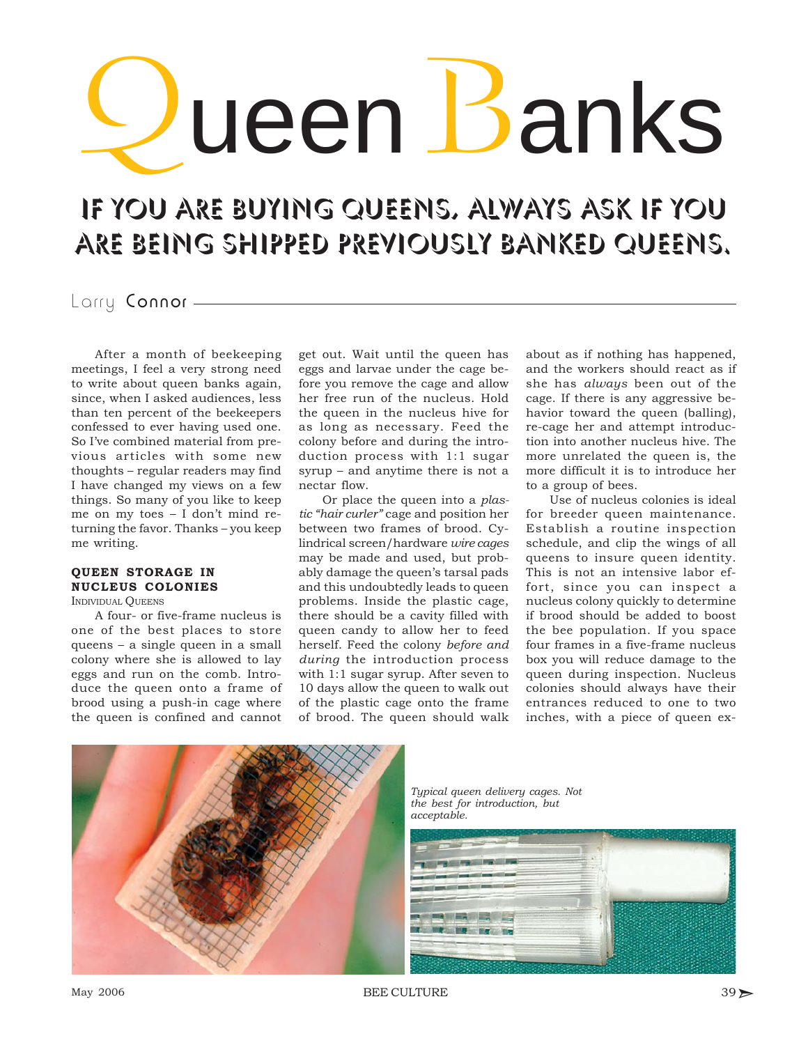# ueen Banks

## If you are buying queens, always ask if you are being shipped previously banked queens.

### Larry Connor -

After a month of beekeeping meetings, I feel a very strong need to write about queen banks again, since, when I asked audiences, less than ten percent of the beekeepers confessed to ever having used one. So I've combined material from previous articles with some new thoughts – regular readers may find I have changed my views on a few things. So many of you like to keep me on my toes – I don't mind returning the favor. Thanks – you keep me writing.

#### **QUEEN STORAGE IN NUCLEUS COLONIES**

INDIVIDUAL **OUEENS** 

A four- or five-frame nucleus is one of the best places to store queens – a single queen in a small colony where she is allowed to lay eggs and run on the comb. Introduce the queen onto a frame of brood using a push-in cage where the queen is confined and cannot

get out. Wait until the queen has eggs and larvae under the cage before you remove the cage and allow her free run of the nucleus. Hold the queen in the nucleus hive for as long as necessary. Feed the colony before and during the introduction process with 1:1 sugar syrup – and anytime there is not a nectar flow.

Or place the queen into a *plastic "hair curler"* cage and position her between two frames of brood. Cylindrical screen/hardware *wire cages* may be made and used, but probably damage the queen's tarsal pads and this undoubtedly leads to queen problems. Inside the plastic cage, there should be a cavity filled with queen candy to allow her to feed herself. Feed the colony *before and during* the introduction process with 1:1 sugar syrup. After seven to 10 days allow the queen to walk out of the plastic cage onto the frame of brood. The queen should walk

about as if nothing has happened, and the workers should react as if she has *always* been out of the cage. If there is any aggressive behavior toward the queen (balling), re-cage her and attempt introduction into another nucleus hive. The more unrelated the queen is, the more difficult it is to introduce her to a group of bees.

Use of nucleus colonies is ideal for breeder queen maintenance. Establish a routine inspection schedule, and clip the wings of all queens to insure queen identity. This is not an intensive labor effort, since you can inspect a nucleus colony quickly to determine if brood should be added to boost the bee population. If you space four frames in a five-frame nucleus box you will reduce damage to the queen during inspection. Nucleus colonies should always have their entrances reduced to one to two inches, with a piece of queen ex-



*Typical queen delivery cages. Not the best for introduction, but acceptable.*

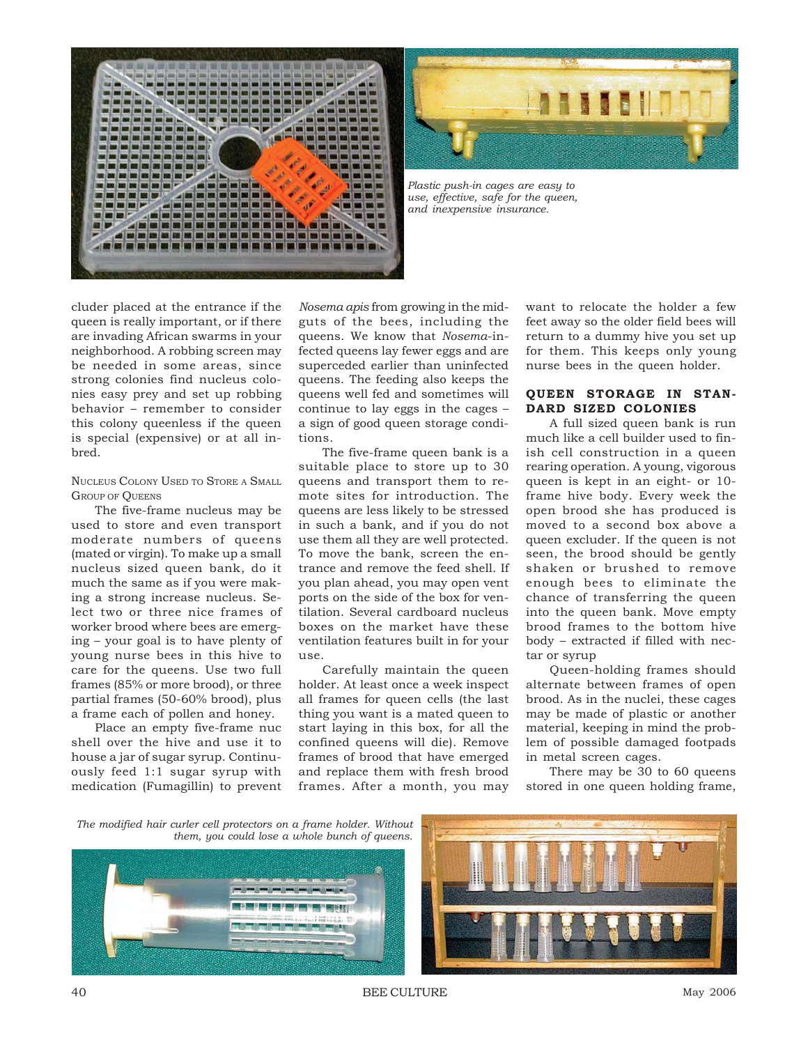



*Plastic push-in cages are easy to use, effective, safe for the queen, and inexpensive insurance.*

cluder placed at the entrance if the queen is really important, or if there are invading African swarms in your neighborhood. A robbing screen may be needed in some areas, since strong colonies find nucleus colonies easy prey and set up robbing behavior – remember to consider this colony queenless if the queen is special (expensive) or at all inbred.

#### NUCLEUS COLONY USED TO STORE A SMALL GROUP OF **OUEENS**

The five-frame nucleus may be used to store and even transport moderate numbers of queens (mated or virgin). To make up a small nucleus sized queen bank, do it much the same as if you were making a strong increase nucleus. Select two or three nice frames of worker brood where bees are emerging – your goal is to have plenty of young nurse bees in this hive to care for the queens. Use two full frames (85% or more brood), or three partial frames (50-60% brood), plus a frame each of pollen and honey.

Place an empty five-frame nuc shell over the hive and use it to house a jar of sugar syrup. Continuously feed 1:1 sugar syrup with medication (Fumagillin) to prevent

*Nosema apis* from growing in the midguts of the bees, including the queens. We know that *Nosema*-infected queens lay fewer eggs and are superceded earlier than uninfected queens. The feeding also keeps the queens well fed and sometimes will continue to lay eggs in the cages – a sign of good queen storage conditions.

The five-frame queen bank is a suitable place to store up to 30 queens and transport them to remote sites for introduction. The queens are less likely to be stressed in such a bank, and if you do not use them all they are well protected. To move the bank, screen the entrance and remove the feed shell. If you plan ahead, you may open vent ports on the side of the box for ventilation. Several cardboard nucleus boxes on the market have these ventilation features built in for your  $11S<sub>e</sub>$ 

Carefully maintain the queen holder. At least once a week inspect all frames for queen cells (the last thing you want is a mated queen to start laying in this box, for all the confined queens will die). Remove frames of brood that have emerged and replace them with fresh brood frames. After a month, you may

want to relocate the holder a few feet away so the older field bees will return to a dummy hive you set up for them. This keeps only young nurse bees in the queen holder.

#### **QUEEN STORAGE IN STAN-DARD SIZED COLONIES**

A full sized queen bank is run much like a cell builder used to finish cell construction in a queen rearing operation. A young, vigorous queen is kept in an eight- or 10 frame hive body. Every week the open brood she has produced is moved to a second box above a queen excluder. If the queen is not seen, the brood should be gently shaken or brushed to remove enough bees to eliminate the chance of transferring the queen into the queen bank. Move empty brood frames to the bottom hive body – extracted if filled with nectar or syrup

Queen-holding frames should alternate between frames of open brood. As in the nuclei, these cages may be made of plastic or another material, keeping in mind the problem of possible damaged footpads in metal screen cages.

There may be 30 to 60 queens stored in one queen holding frame,

*The modified hair curler cell protectors on a frame holder. Without them, you could lose a whole bunch of queens.*



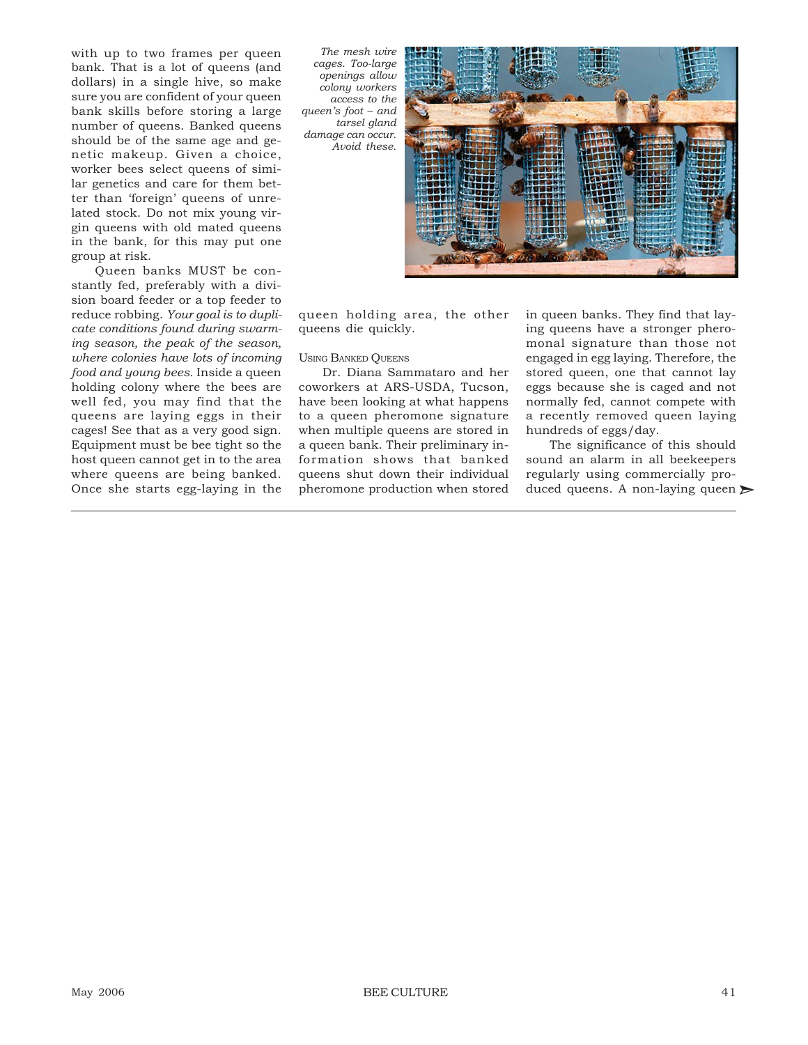with up to two frames per queen bank. That is a lot of queens (and dollars) in a single hive, so make sure you are confident of your queen bank skills before storing a large number of queens. Banked queens should be of the same age and genetic makeup. Given a choice, worker bees select queens of similar genetics and care for them better than 'foreign' queens of unrelated stock. Do not mix young virgin queens with old mated queens in the bank, for this may put one group at risk.

Queen banks MUST be constantly fed, preferably with a division board feeder or a top feeder to reduce robbing. *Your goal is to duplicate conditions found during swarming season, the peak of the season, where colonies have lots of incoming food and young bees.* Inside a queen holding colony where the bees are well fed, you may find that the queens are laying eggs in their cages! See that as a very good sign. Equipment must be bee tight so the host queen cannot get in to the area where queens are being banked. Once she starts egg-laying in the

*The mesh wire cages. Too-large openings allow colony workers access to the queen's foot – and tarsel gland damage can occur. Avoid these.*



queen holding area, the other queens die quickly.

#### USING BANKED QUEENS

Dr. Diana Sammataro and her coworkers at ARS-USDA, Tucson, have been looking at what happens to a queen pheromone signature when multiple queens are stored in a queen bank. Their preliminary information shows that banked queens shut down their individual pheromone production when stored in queen banks. They find that laying queens have a stronger pheromonal signature than those not engaged in egg laying. Therefore, the stored queen, one that cannot lay eggs because she is caged and not normally fed, cannot compete with a recently removed queen laying hundreds of eggs/day.

The significance of this should sound an alarm in all beekeepers regularly using commercially produced queens. A non-laying queen